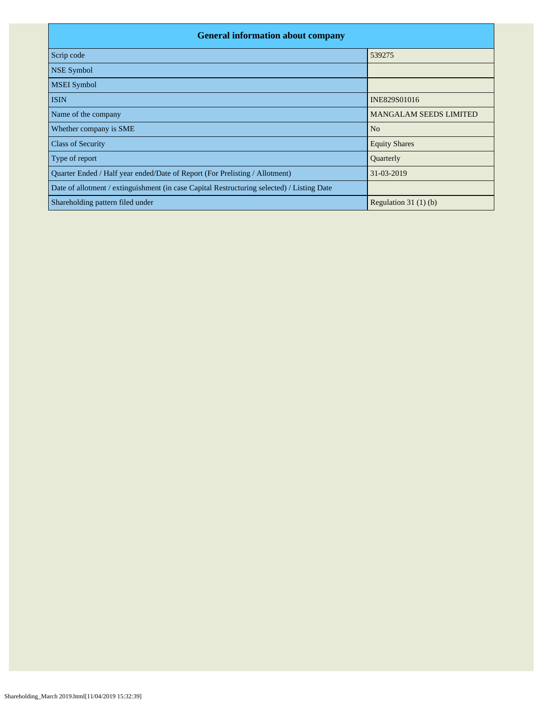| <b>General information about company</b>                                                   |                               |  |  |  |  |  |  |  |  |
|--------------------------------------------------------------------------------------------|-------------------------------|--|--|--|--|--|--|--|--|
| Scrip code                                                                                 | 539275                        |  |  |  |  |  |  |  |  |
| <b>NSE Symbol</b>                                                                          |                               |  |  |  |  |  |  |  |  |
| <b>MSEI</b> Symbol                                                                         |                               |  |  |  |  |  |  |  |  |
| <b>ISIN</b>                                                                                | INE829S01016                  |  |  |  |  |  |  |  |  |
| Name of the company                                                                        | <b>MANGALAM SEEDS LIMITED</b> |  |  |  |  |  |  |  |  |
| Whether company is SME                                                                     | N <sub>o</sub>                |  |  |  |  |  |  |  |  |
| <b>Class of Security</b>                                                                   | <b>Equity Shares</b>          |  |  |  |  |  |  |  |  |
| Type of report                                                                             | Quarterly                     |  |  |  |  |  |  |  |  |
| Quarter Ended / Half year ended/Date of Report (For Prelisting / Allotment)                | 31-03-2019                    |  |  |  |  |  |  |  |  |
| Date of allotment / extinguishment (in case Capital Restructuring selected) / Listing Date |                               |  |  |  |  |  |  |  |  |
| Shareholding pattern filed under                                                           | Regulation 31 $(1)(b)$        |  |  |  |  |  |  |  |  |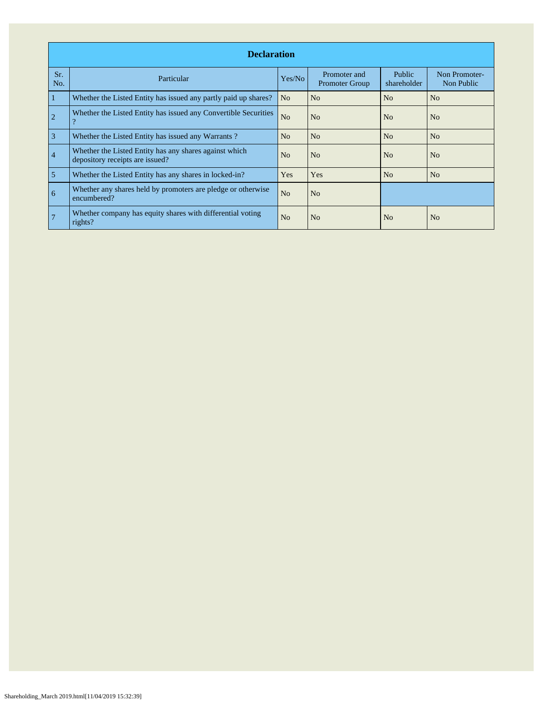|                | <b>Declaration</b>                                                                        |                |                                       |                       |                             |  |  |  |  |  |  |  |
|----------------|-------------------------------------------------------------------------------------------|----------------|---------------------------------------|-----------------------|-----------------------------|--|--|--|--|--|--|--|
| Sr.<br>No.     | Particular                                                                                | Yes/No         | Promoter and<br><b>Promoter Group</b> | Public<br>shareholder | Non Promoter-<br>Non Public |  |  |  |  |  |  |  |
| 1              | Whether the Listed Entity has issued any partly paid up shares?                           | N <sub>o</sub> | N <sub>o</sub>                        | No                    | N <sub>o</sub>              |  |  |  |  |  |  |  |
| $\overline{2}$ | Whether the Listed Entity has issued any Convertible Securities<br>റ                      | N <sub>o</sub> | No                                    | No                    | No                          |  |  |  |  |  |  |  |
| $\overline{3}$ | Whether the Listed Entity has issued any Warrants?                                        | No             | N <sub>o</sub>                        | N <sub>o</sub>        | N <sub>o</sub>              |  |  |  |  |  |  |  |
| $\overline{4}$ | Whether the Listed Entity has any shares against which<br>depository receipts are issued? | N <sub>o</sub> | N <sub>0</sub>                        | N <sub>0</sub>        | N <sub>0</sub>              |  |  |  |  |  |  |  |
| 5              | Whether the Listed Entity has any shares in locked-in?                                    | Yes            | Yes                                   | No                    | No                          |  |  |  |  |  |  |  |
| 6              | Whether any shares held by promoters are pledge or otherwise<br>encumbered?               | N <sub>o</sub> | N <sub>o</sub>                        |                       |                             |  |  |  |  |  |  |  |
|                | Whether company has equity shares with differential voting<br>rights?                     | N <sub>o</sub> | N <sub>o</sub>                        | No                    | N <sub>o</sub>              |  |  |  |  |  |  |  |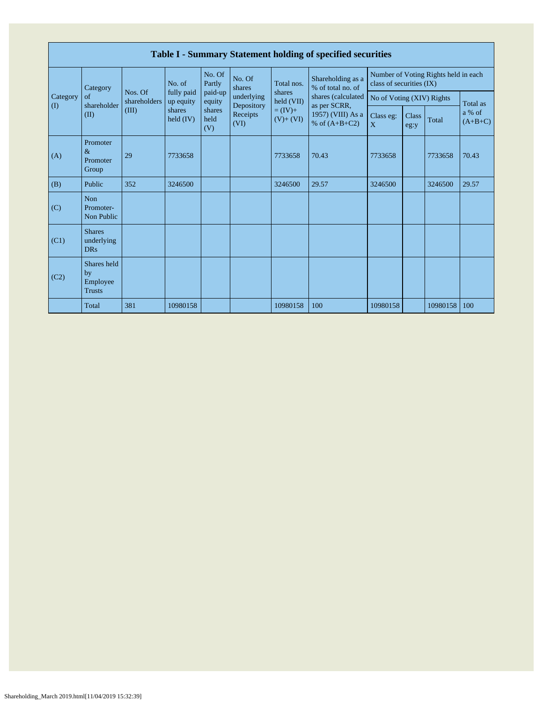|                 | Table I - Summary Statement holding of specified securities |                         |                                                            |                       |                          |                          |                                                                            |                                                                  |               |          |                     |  |  |
|-----------------|-------------------------------------------------------------|-------------------------|------------------------------------------------------------|-----------------------|--------------------------|--------------------------|----------------------------------------------------------------------------|------------------------------------------------------------------|---------------|----------|---------------------|--|--|
|                 | Category<br>of<br>shareholder                               | Nos. Of<br>shareholders | No. of<br>fully paid<br>up equity<br>shares<br>held $(IV)$ | No. Of<br>Partly      | No. Of<br>shares         | Total nos.               | Shareholding as a<br>% of total no. of                                     | Number of Voting Rights held in each<br>class of securities (IX) |               |          |                     |  |  |
| Category<br>(I) |                                                             |                         |                                                            | paid-up<br>equity     | underlying<br>Depository | shares<br>held (VII)     | shares (calculated<br>as per SCRR,<br>1957) (VIII) As a<br>% of $(A+B+C2)$ | No of Voting (XIV) Rights                                        |               |          | Total as            |  |  |
|                 | (II)                                                        | (III)                   |                                                            | shares<br>held<br>(V) | Receipts<br>(VI)         | $= (IV) +$<br>$(V)+(VI)$ |                                                                            | Class eg:<br>$\mathbf{X}$                                        | Class<br>eg:y | Total    | a % of<br>$(A+B+C)$ |  |  |
| (A)             | Promoter<br>$\&$<br>Promoter<br>Group                       | 29                      | 7733658                                                    |                       |                          | 7733658                  | 70.43                                                                      | 7733658                                                          |               | 7733658  | 70.43               |  |  |
| (B)             | Public                                                      | 352                     | 3246500                                                    |                       |                          | 3246500                  | 29.57                                                                      | 3246500                                                          |               | 3246500  | 29.57               |  |  |
| (C)             | Non<br>Promoter-<br>Non Public                              |                         |                                                            |                       |                          |                          |                                                                            |                                                                  |               |          |                     |  |  |
| (C1)            | <b>Shares</b><br>underlying<br><b>DRs</b>                   |                         |                                                            |                       |                          |                          |                                                                            |                                                                  |               |          |                     |  |  |
| (C2)            | Shares held<br>by<br>Employee<br><b>Trusts</b>              |                         |                                                            |                       |                          |                          |                                                                            |                                                                  |               |          |                     |  |  |
|                 | Total                                                       | 381                     | 10980158                                                   |                       |                          | 10980158                 | 100                                                                        | 10980158                                                         |               | 10980158 | 100                 |  |  |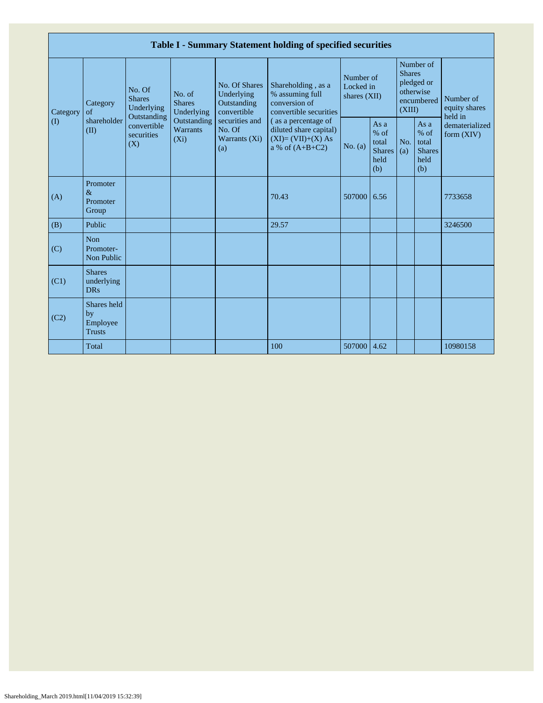| Table I - Summary Statement holding of specified securities |                                                |                                                                                          |                                                                             |                                                                                                               |                                                                                                                                                                               |                                        |                                                           |                         |                                                         |                                                                         |  |  |
|-------------------------------------------------------------|------------------------------------------------|------------------------------------------------------------------------------------------|-----------------------------------------------------------------------------|---------------------------------------------------------------------------------------------------------------|-------------------------------------------------------------------------------------------------------------------------------------------------------------------------------|----------------------------------------|-----------------------------------------------------------|-------------------------|---------------------------------------------------------|-------------------------------------------------------------------------|--|--|
| Category<br>$\left( \mathrm{I}\right)$                      | Category<br>of<br>shareholder<br>(II)          | No. Of<br><b>Shares</b><br>Underlying<br>Outstanding<br>convertible<br>securities<br>(X) | No. of<br><b>Shares</b><br>Underlying<br>Outstanding<br>Warrants<br>$(X_i)$ | No. Of Shares<br>Underlying<br>Outstanding<br>convertible<br>securities and<br>No. Of<br>Warrants (Xi)<br>(a) | Shareholding, as a<br>% assuming full<br>conversion of<br>convertible securities<br>(as a percentage of<br>diluted share capital)<br>$(XI)=(VII)+(X) As$<br>a % of $(A+B+C2)$ | Number of<br>Locked in<br>shares (XII) |                                                           | <b>Shares</b><br>(XIII) | Number of<br>pledged or<br>otherwise<br>encumbered      | Number of<br>equity shares<br>held in<br>dematerialized<br>form $(XIV)$ |  |  |
|                                                             |                                                |                                                                                          |                                                                             |                                                                                                               |                                                                                                                                                                               | No. (a)                                | As $a$<br>$%$ of<br>total<br><b>Shares</b><br>held<br>(b) | No.<br>(a)              | As a<br>$%$ of<br>total<br><b>Shares</b><br>held<br>(b) |                                                                         |  |  |
| (A)                                                         | Promoter<br>$\&$<br>Promoter<br>Group          |                                                                                          |                                                                             |                                                                                                               | 70.43                                                                                                                                                                         | 507000                                 | 6.56                                                      |                         |                                                         | 7733658                                                                 |  |  |
| (B)                                                         | Public                                         |                                                                                          |                                                                             |                                                                                                               | 29.57                                                                                                                                                                         |                                        |                                                           |                         |                                                         | 3246500                                                                 |  |  |
| (C)                                                         | <b>Non</b><br>Promoter-<br>Non Public          |                                                                                          |                                                                             |                                                                                                               |                                                                                                                                                                               |                                        |                                                           |                         |                                                         |                                                                         |  |  |
| (C1)                                                        | <b>Shares</b><br>underlying<br><b>DRs</b>      |                                                                                          |                                                                             |                                                                                                               |                                                                                                                                                                               |                                        |                                                           |                         |                                                         |                                                                         |  |  |
| (C2)                                                        | Shares held<br>by<br>Employee<br><b>Trusts</b> |                                                                                          |                                                                             |                                                                                                               |                                                                                                                                                                               |                                        |                                                           |                         |                                                         |                                                                         |  |  |
|                                                             | Total                                          |                                                                                          |                                                                             |                                                                                                               | 100                                                                                                                                                                           | 507000 4.62                            |                                                           |                         |                                                         | 10980158                                                                |  |  |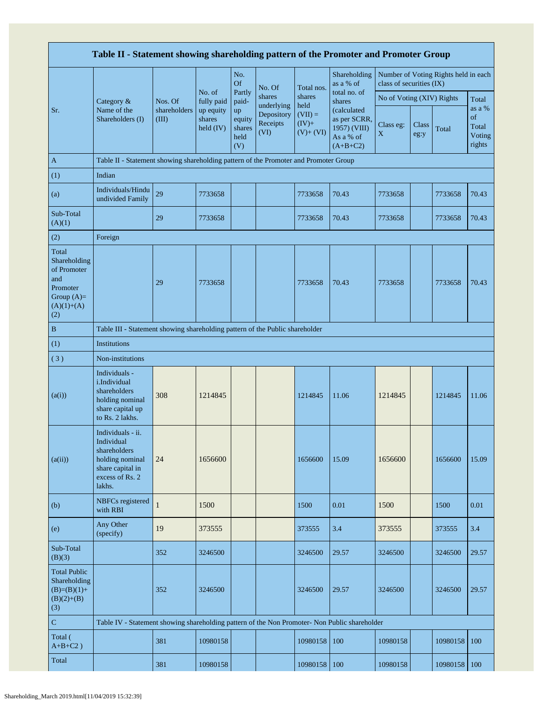|                                                                                                | Table II - Statement showing shareholding pattern of the Promoter and Promoter Group                                |                                  |                                                          |                                       |                                                        |                                            |                                                                        |                           |               |                                      |                                           |
|------------------------------------------------------------------------------------------------|---------------------------------------------------------------------------------------------------------------------|----------------------------------|----------------------------------------------------------|---------------------------------------|--------------------------------------------------------|--------------------------------------------|------------------------------------------------------------------------|---------------------------|---------------|--------------------------------------|-------------------------------------------|
|                                                                                                |                                                                                                                     |                                  |                                                          | No.<br><b>Of</b>                      | No. Of                                                 | Total nos.                                 | Shareholding<br>as a % of                                              | class of securities (IX)  |               | Number of Voting Rights held in each |                                           |
|                                                                                                | Category &                                                                                                          | Nos. Of<br>shareholders<br>(III) | No. of<br>fully paid<br>up equity<br>shares<br>held (IV) | Partly<br>paid-                       | shares<br>underlying<br>Depository<br>Receipts<br>(VI) | shares                                     | total no. of<br>shares                                                 | No of Voting (XIV) Rights |               |                                      | Total                                     |
| Sr.                                                                                            | Name of the<br>Shareholders (I)                                                                                     |                                  |                                                          | up<br>equity<br>shares<br>held<br>(V) |                                                        | held<br>$(VII) =$<br>$(IV)+$<br>$(V)+(VI)$ | (calculated<br>as per SCRR,<br>1957) (VIII)<br>As a % of<br>$(A+B+C2)$ | Class eg:<br>$\mathbf X$  | Class<br>eg:y | Total                                | as a %<br>of<br>Total<br>Voting<br>rights |
| $\mathbf{A}$                                                                                   | Table II - Statement showing shareholding pattern of the Promoter and Promoter Group                                |                                  |                                                          |                                       |                                                        |                                            |                                                                        |                           |               |                                      |                                           |
| (1)                                                                                            | Indian                                                                                                              |                                  |                                                          |                                       |                                                        |                                            |                                                                        |                           |               |                                      |                                           |
| (a)                                                                                            | Individuals/Hindu<br>undivided Family                                                                               | 29                               | 7733658                                                  |                                       |                                                        | 7733658                                    | 70.43                                                                  | 7733658                   |               | 7733658                              | 70.43                                     |
| Sub-Total<br>(A)(1)                                                                            |                                                                                                                     | 29                               | 7733658                                                  |                                       |                                                        | 7733658                                    | 70.43                                                                  | 7733658                   |               | 7733658                              | 70.43                                     |
| (2)                                                                                            | Foreign                                                                                                             |                                  |                                                          |                                       |                                                        |                                            |                                                                        |                           |               |                                      |                                           |
| Total<br>Shareholding<br>of Promoter<br>and<br>Promoter<br>Group $(A)=$<br>$(A)(1)+(A)$<br>(2) |                                                                                                                     | 29                               | 7733658                                                  |                                       |                                                        | 7733658                                    | 70.43                                                                  | 7733658                   |               | 7733658                              | 70.43                                     |
| $\, {\bf B}$                                                                                   | Table III - Statement showing shareholding pattern of the Public shareholder                                        |                                  |                                                          |                                       |                                                        |                                            |                                                                        |                           |               |                                      |                                           |
| (1)                                                                                            | <b>Institutions</b>                                                                                                 |                                  |                                                          |                                       |                                                        |                                            |                                                                        |                           |               |                                      |                                           |
| (3)                                                                                            | Non-institutions                                                                                                    |                                  |                                                          |                                       |                                                        |                                            |                                                                        |                           |               |                                      |                                           |
| (a(i))                                                                                         | Individuals -<br>i.Individual<br>shareholders<br>holding nominal<br>share capital up<br>to Rs. 2 lakhs.             | 308                              | 1214845                                                  |                                       |                                                        | 1214845                                    | 11.06                                                                  | 1214845                   |               | 1214845                              | 11.06                                     |
| (a(ii))                                                                                        | Individuals - ii.<br>Individual<br>shareholders<br>holding nominal<br>share capital in<br>excess of Rs. 2<br>lakhs. | 24                               | 1656600                                                  |                                       |                                                        | 1656600                                    | 15.09                                                                  | 1656600                   |               | 1656600                              | 15.09                                     |
| (b)                                                                                            | NBFCs registered<br>with RBI                                                                                        | 1                                | 1500                                                     |                                       |                                                        | 1500                                       | 0.01                                                                   | 1500                      |               | 1500                                 | 0.01                                      |
| (e)                                                                                            | Any Other<br>(specify)                                                                                              | 19                               | 373555                                                   |                                       |                                                        | 373555                                     | 3.4                                                                    | 373555                    |               | 373555                               | 3.4                                       |
| Sub-Total<br>(B)(3)                                                                            |                                                                                                                     | 352                              | 3246500                                                  |                                       |                                                        | 3246500                                    | 29.57                                                                  | 3246500                   |               | 3246500                              | 29.57                                     |
| <b>Total Public</b><br>Shareholding<br>$(B)=(B)(1)+$<br>$(B)(2)+(B)$<br>(3)                    |                                                                                                                     | 352                              | 3246500                                                  |                                       |                                                        | 3246500                                    | 29.57                                                                  | 3246500                   |               | 3246500                              | 29.57                                     |
| $\mathbf C$                                                                                    | Table IV - Statement showing shareholding pattern of the Non Promoter- Non Public shareholder                       |                                  |                                                          |                                       |                                                        |                                            |                                                                        |                           |               |                                      |                                           |
| Total (<br>$A+B+C2$ )                                                                          |                                                                                                                     | 381                              | 10980158                                                 |                                       |                                                        | 10980158                                   | 100                                                                    | 10980158                  |               | 10980158                             | 100                                       |
| Total                                                                                          |                                                                                                                     | 381                              | 10980158                                                 |                                       |                                                        | 10980158                                   | 100                                                                    | 10980158                  |               | 10980158                             | 100                                       |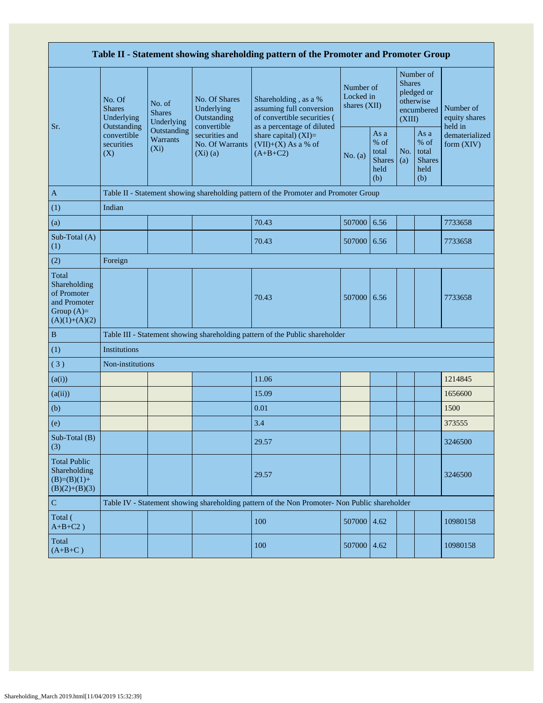| Table II - Statement showing shareholding pattern of the Promoter and Promoter Group    |                                                 |                                                                                         |                                                           |                                                                                               |                                        |                                                       |                                                                               |                                                       |                                       |  |  |  |  |  |
|-----------------------------------------------------------------------------------------|-------------------------------------------------|-----------------------------------------------------------------------------------------|-----------------------------------------------------------|-----------------------------------------------------------------------------------------------|----------------------------------------|-------------------------------------------------------|-------------------------------------------------------------------------------|-------------------------------------------------------|---------------------------------------|--|--|--|--|--|
| Sr.                                                                                     | No. Of<br><b>Shares</b><br>Underlying           | No. of<br><b>Shares</b><br>Underlying                                                   | No. Of Shares<br>Underlying<br>Outstanding<br>convertible | Shareholding, as a %<br>assuming full conversion<br>of convertible securities (               | Number of<br>Locked in<br>shares (XII) |                                                       | Number of<br><b>Shares</b><br>pledged or<br>otherwise<br>encumbered<br>(XIII) |                                                       | Number of<br>equity shares<br>held in |  |  |  |  |  |
|                                                                                         | Outstanding<br>convertible<br>securities<br>(X) | Outstanding<br>securities and<br>Warrants<br>No. Of Warrants<br>$(X_i)$<br>$(Xi)$ $(a)$ |                                                           | as a percentage of diluted<br>share capital) $(XI)$ =<br>$(VII)+(X)$ As a % of<br>$(A+B+C2)$  | No. (a)                                | As a<br>% of<br>total<br><b>Shares</b><br>held<br>(b) | No.<br>(a)                                                                    | As a<br>% of<br>total<br><b>Shares</b><br>held<br>(b) | dematerialized<br>form (XIV)          |  |  |  |  |  |
| $\mathbf{A}$                                                                            |                                                 |                                                                                         |                                                           | Table II - Statement showing shareholding pattern of the Promoter and Promoter Group          |                                        |                                                       |                                                                               |                                                       |                                       |  |  |  |  |  |
| (1)                                                                                     | Indian                                          |                                                                                         |                                                           |                                                                                               |                                        |                                                       |                                                                               |                                                       |                                       |  |  |  |  |  |
| (a)                                                                                     |                                                 |                                                                                         |                                                           | 70.43                                                                                         | 507000                                 | 6.56                                                  |                                                                               |                                                       | 7733658                               |  |  |  |  |  |
| Sub-Total (A)<br>(1)                                                                    |                                                 |                                                                                         |                                                           | 70.43                                                                                         | 507000                                 | 6.56                                                  |                                                                               |                                                       | 7733658                               |  |  |  |  |  |
| (2)                                                                                     | Foreign                                         |                                                                                         |                                                           |                                                                                               |                                        |                                                       |                                                                               |                                                       |                                       |  |  |  |  |  |
| Total<br>Shareholding<br>of Promoter<br>and Promoter<br>Group $(A)=$<br>$(A)(1)+(A)(2)$ |                                                 |                                                                                         |                                                           | 70.43                                                                                         | 507000                                 | 6.56                                                  |                                                                               |                                                       | 7733658                               |  |  |  |  |  |
| $\, {\bf B}$                                                                            |                                                 |                                                                                         |                                                           | Table III - Statement showing shareholding pattern of the Public shareholder                  |                                        |                                                       |                                                                               |                                                       |                                       |  |  |  |  |  |
| (1)                                                                                     | <b>Institutions</b>                             |                                                                                         |                                                           |                                                                                               |                                        |                                                       |                                                                               |                                                       |                                       |  |  |  |  |  |
| (3)                                                                                     | Non-institutions                                |                                                                                         |                                                           |                                                                                               |                                        |                                                       |                                                                               |                                                       |                                       |  |  |  |  |  |
| (a(i))                                                                                  |                                                 |                                                                                         |                                                           | 11.06                                                                                         |                                        |                                                       |                                                                               |                                                       | 1214845                               |  |  |  |  |  |
| (a(ii))                                                                                 |                                                 |                                                                                         |                                                           | 15.09                                                                                         |                                        |                                                       |                                                                               |                                                       | 1656600                               |  |  |  |  |  |
| (b)                                                                                     |                                                 |                                                                                         |                                                           | 0.01                                                                                          |                                        |                                                       |                                                                               |                                                       | 1500                                  |  |  |  |  |  |
| (e)                                                                                     |                                                 |                                                                                         |                                                           | 3.4                                                                                           |                                        |                                                       |                                                                               |                                                       | 373555                                |  |  |  |  |  |
| Sub-Total (B)<br>(3)                                                                    |                                                 |                                                                                         |                                                           | 29.57                                                                                         |                                        |                                                       |                                                                               |                                                       | 3246500                               |  |  |  |  |  |
| <b>Total Public</b><br>Shareholding<br>$(B)=(B)(1)+$<br>$(B)(2)+(B)(3)$                 |                                                 |                                                                                         |                                                           | 29.57                                                                                         |                                        |                                                       |                                                                               |                                                       | 3246500                               |  |  |  |  |  |
| $\mathbf C$                                                                             |                                                 |                                                                                         |                                                           | Table IV - Statement showing shareholding pattern of the Non Promoter- Non Public shareholder |                                        |                                                       |                                                                               |                                                       |                                       |  |  |  |  |  |
| Total (<br>$A+B+C2$ )                                                                   |                                                 |                                                                                         |                                                           | 100                                                                                           | 507000                                 | 4.62                                                  |                                                                               |                                                       | 10980158                              |  |  |  |  |  |
| Total<br>$(A+B+C)$                                                                      |                                                 |                                                                                         |                                                           | 100                                                                                           | 507000                                 | 4.62                                                  |                                                                               |                                                       | 10980158                              |  |  |  |  |  |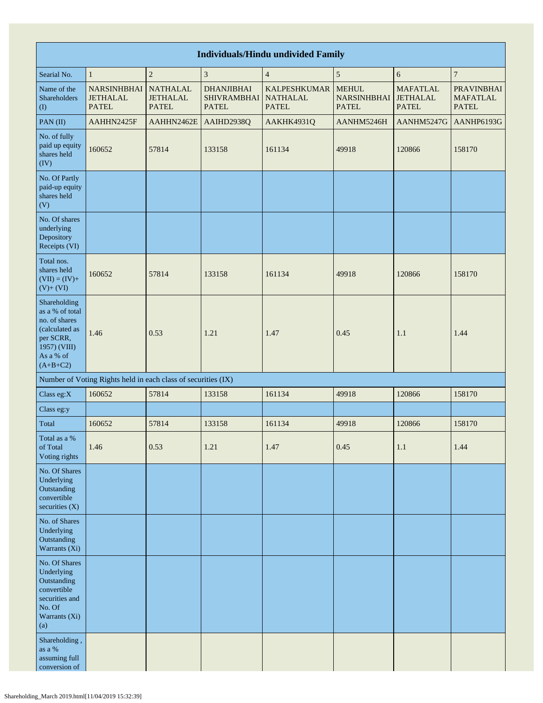|                                                                                                                            | <b>Individuals/Hindu undivided Family</b>                     |                                                    |                                                         |                                                        |                                                    |                                                    |                                                      |  |  |  |  |  |  |
|----------------------------------------------------------------------------------------------------------------------------|---------------------------------------------------------------|----------------------------------------------------|---------------------------------------------------------|--------------------------------------------------------|----------------------------------------------------|----------------------------------------------------|------------------------------------------------------|--|--|--|--|--|--|
| Searial No.                                                                                                                | $\mathbf{1}$                                                  | $\overline{c}$                                     | $\overline{\mathbf{3}}$                                 | $\overline{4}$                                         | $\sqrt{5}$                                         | $\sqrt{6}$                                         | $\boldsymbol{7}$                                     |  |  |  |  |  |  |
| Name of the<br>Shareholders<br>$\left( \mathrm{I}\right)$                                                                  | <b>NARSINHBHAI</b><br><b>JETHALAL</b><br><b>PATEL</b>         | <b>NATHALAL</b><br><b>JETHALAL</b><br><b>PATEL</b> | <b>DHANJIBHAI</b><br><b>SHIVRAMBHAI</b><br><b>PATEL</b> | <b>KALPESHKUMAR</b><br><b>NATHALAL</b><br><b>PATEL</b> | <b>MEHUL</b><br><b>NARSINHBHAI</b><br><b>PATEL</b> | <b>MAFATLAL</b><br><b>JETHALAL</b><br><b>PATEL</b> | <b>PRAVINBHAI</b><br><b>MAFATLAL</b><br><b>PATEL</b> |  |  |  |  |  |  |
| PAN(II)                                                                                                                    | AAHHN2425F                                                    | AAHHN2462E                                         | AAIHD2938Q                                              | AAKHK4931Q                                             | AANHM5246H                                         | AANHM5247G                                         | AANHP6193G                                           |  |  |  |  |  |  |
| No. of fully<br>paid up equity<br>shares held<br>(IV)                                                                      | 160652                                                        | 57814                                              | 133158                                                  | 161134                                                 | 49918                                              | 120866                                             | 158170                                               |  |  |  |  |  |  |
| No. Of Partly<br>paid-up equity<br>shares held<br>(V)                                                                      |                                                               |                                                    |                                                         |                                                        |                                                    |                                                    |                                                      |  |  |  |  |  |  |
| No. Of shares<br>underlying<br>Depository<br>Receipts (VI)                                                                 |                                                               |                                                    |                                                         |                                                        |                                                    |                                                    |                                                      |  |  |  |  |  |  |
| Total nos.<br>shares held<br>$(VII) = (IV) +$<br>$(V)+(VI)$                                                                | 160652                                                        | 57814                                              | 133158                                                  | 161134                                                 | 49918                                              | 120866                                             | 158170                                               |  |  |  |  |  |  |
| Shareholding<br>as a % of total<br>no. of shares<br>(calculated as<br>per SCRR,<br>1957) (VIII)<br>As a % of<br>$(A+B+C2)$ | 1.46                                                          | 0.53                                               | 1.21                                                    | 1.47                                                   | 0.45                                               | 1.1                                                | 1.44                                                 |  |  |  |  |  |  |
|                                                                                                                            | Number of Voting Rights held in each class of securities (IX) |                                                    |                                                         |                                                        |                                                    |                                                    |                                                      |  |  |  |  |  |  |
| Class eg: $X$                                                                                                              | 160652                                                        | 57814                                              | 133158                                                  | 161134                                                 | 49918                                              | 120866                                             | 158170                                               |  |  |  |  |  |  |
| Class eg:y                                                                                                                 |                                                               |                                                    |                                                         |                                                        |                                                    |                                                    |                                                      |  |  |  |  |  |  |
| Total                                                                                                                      | 160652                                                        | 57814                                              | 133158                                                  | 161134                                                 | 49918                                              | 120866                                             | 158170                                               |  |  |  |  |  |  |
| Total as a %<br>of Total<br>Voting rights                                                                                  | 1.46                                                          | 0.53                                               | 1.21                                                    | 1.47                                                   | 0.45                                               | 1.1                                                | 1.44                                                 |  |  |  |  |  |  |
| No. Of Shares<br>Underlying<br>Outstanding<br>convertible<br>securities $(X)$                                              |                                                               |                                                    |                                                         |                                                        |                                                    |                                                    |                                                      |  |  |  |  |  |  |
| No. of Shares<br>Underlying<br>Outstanding<br>Warrants (Xi)                                                                |                                                               |                                                    |                                                         |                                                        |                                                    |                                                    |                                                      |  |  |  |  |  |  |
| No. Of Shares<br>Underlying<br>Outstanding<br>convertible<br>securities and<br>No. Of<br>Warrants (Xi)<br>(a)              |                                                               |                                                    |                                                         |                                                        |                                                    |                                                    |                                                      |  |  |  |  |  |  |
| Shareholding,<br>as a $\%$<br>assuming full<br>conversion of                                                               |                                                               |                                                    |                                                         |                                                        |                                                    |                                                    |                                                      |  |  |  |  |  |  |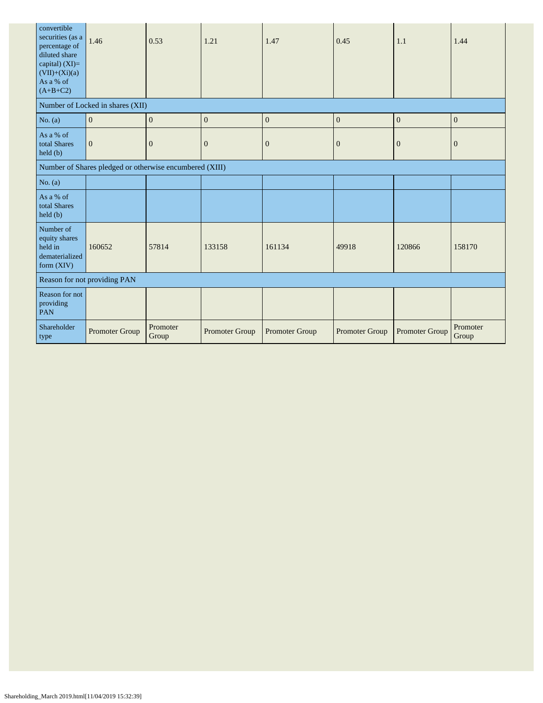| convertible<br>securities (as a<br>percentage of<br>diluted share<br>capital) (XI)=<br>$(VII)+(Xi)(a)$<br>As a % of<br>$(A+B+C2)$ | 1.46                                                    | 0.53              | 1.21                  | 1.47                  | 0.45             | 1.1              | 1.44              |
|-----------------------------------------------------------------------------------------------------------------------------------|---------------------------------------------------------|-------------------|-----------------------|-----------------------|------------------|------------------|-------------------|
|                                                                                                                                   | Number of Locked in shares (XII)                        |                   |                       |                       |                  |                  |                   |
| No. $(a)$                                                                                                                         | $\boldsymbol{0}$                                        | $\mathbf{0}$      | $\mathbf{0}$          | $\mathbf{0}$          | $\boldsymbol{0}$ | $\mathbf{0}$     | $\overline{0}$    |
| As a % of<br>total Shares<br>held(b)                                                                                              | $\mathbf{0}$                                            | $\mathbf{0}$      | $\mathbf{0}$          | $\boldsymbol{0}$      | $\mathbf{0}$     | $\boldsymbol{0}$ | $\mathbf{0}$      |
|                                                                                                                                   | Number of Shares pledged or otherwise encumbered (XIII) |                   |                       |                       |                  |                  |                   |
| No. $(a)$                                                                                                                         |                                                         |                   |                       |                       |                  |                  |                   |
| As a % of<br>total Shares<br>held (b)                                                                                             |                                                         |                   |                       |                       |                  |                  |                   |
| Number of<br>equity shares<br>held in<br>dematerialized<br>form (XIV)                                                             | 160652                                                  | 57814             | 133158                | 161134                | 49918            | 120866           | 158170            |
|                                                                                                                                   | Reason for not providing PAN                            |                   |                       |                       |                  |                  |                   |
| Reason for not<br>providing<br>PAN                                                                                                |                                                         |                   |                       |                       |                  |                  |                   |
| Shareholder<br>type                                                                                                               | <b>Promoter Group</b>                                   | Promoter<br>Group | <b>Promoter Group</b> | <b>Promoter Group</b> | Promoter Group   | Promoter Group   | Promoter<br>Group |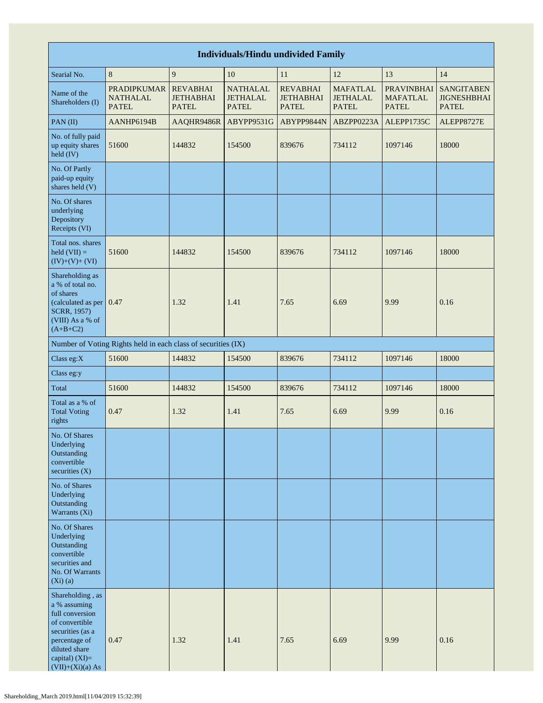| <b>Individuals/Hindu undivided Family</b>                                                                                                                             |                                                               |                                                     |                                                    |                                                     |                                                    |                                                      |                                                         |  |  |  |  |
|-----------------------------------------------------------------------------------------------------------------------------------------------------------------------|---------------------------------------------------------------|-----------------------------------------------------|----------------------------------------------------|-----------------------------------------------------|----------------------------------------------------|------------------------------------------------------|---------------------------------------------------------|--|--|--|--|
| Searial No.                                                                                                                                                           | 8                                                             | 9                                                   | 10                                                 | 11                                                  | 12                                                 | 13                                                   | 14                                                      |  |  |  |  |
| Name of the<br>Shareholders (I)                                                                                                                                       | <b>PRADIPKUMAR</b><br><b>NATHALAL</b><br><b>PATEL</b>         | <b>REVABHAI</b><br><b>JETHABHAI</b><br><b>PATEL</b> | <b>NATHALAL</b><br><b>JETHALAL</b><br><b>PATEL</b> | <b>REVABHAI</b><br><b>JETHABHAI</b><br><b>PATEL</b> | <b>MAFATLAL</b><br><b>JETHALAL</b><br><b>PATEL</b> | <b>PRAVINBHAI</b><br><b>MAFATLAL</b><br><b>PATEL</b> | <b>SANGITABEN</b><br><b>JIGNESHBHAI</b><br><b>PATEL</b> |  |  |  |  |
| PAN(II)                                                                                                                                                               | AANHP6194B                                                    | AAQHR9486R                                          | ABYPP9531G                                         | ABYPP9844N                                          | ABZPP0223A                                         | ALEPP1735C                                           | ALEPP8727E                                              |  |  |  |  |
| No. of fully paid<br>up equity shares<br>held (IV)                                                                                                                    | 51600                                                         | 144832                                              | 154500                                             | 839676                                              | 734112                                             | 1097146                                              | 18000                                                   |  |  |  |  |
| No. Of Partly<br>paid-up equity<br>shares held (V)                                                                                                                    |                                                               |                                                     |                                                    |                                                     |                                                    |                                                      |                                                         |  |  |  |  |
| No. Of shares<br>underlying<br>Depository<br>Receipts (VI)                                                                                                            |                                                               |                                                     |                                                    |                                                     |                                                    |                                                      |                                                         |  |  |  |  |
| Total nos. shares<br>held $(VII) =$<br>$(IV)+(V)+(VI)$                                                                                                                | 51600                                                         | 144832                                              | 154500                                             | 839676                                              | 734112                                             | 1097146                                              | 18000                                                   |  |  |  |  |
| Shareholding as<br>a % of total no.<br>of shares<br>(calculated as per 0.47<br>SCRR, 1957)<br>(VIII) As a % of<br>$(A+B+C2)$                                          |                                                               | 1.32                                                | 1.41                                               | 7.65                                                | 6.69                                               | 9.99                                                 | 0.16                                                    |  |  |  |  |
|                                                                                                                                                                       | Number of Voting Rights held in each class of securities (IX) |                                                     |                                                    |                                                     |                                                    |                                                      |                                                         |  |  |  |  |
| Class eg:X                                                                                                                                                            | 51600                                                         | 144832                                              | 154500                                             | 839676                                              | 734112                                             | 1097146                                              | 18000                                                   |  |  |  |  |
| Class eg:y                                                                                                                                                            |                                                               |                                                     |                                                    |                                                     |                                                    |                                                      |                                                         |  |  |  |  |
| Total                                                                                                                                                                 | 51600                                                         | 144832                                              | 154500                                             | 839676                                              | 734112                                             | 1097146                                              | 18000                                                   |  |  |  |  |
| Total as a % of<br><b>Total Voting</b><br>rights                                                                                                                      | 0.47                                                          | 1.32                                                | 1.41                                               | 7.65                                                | 6.69                                               | 9.99                                                 | 0.16                                                    |  |  |  |  |
| No. Of Shares<br>Underlying<br>Outstanding<br>convertible<br>securities $(X)$                                                                                         |                                                               |                                                     |                                                    |                                                     |                                                    |                                                      |                                                         |  |  |  |  |
| No. of Shares<br>Underlying<br>Outstanding<br>Warrants (Xi)                                                                                                           |                                                               |                                                     |                                                    |                                                     |                                                    |                                                      |                                                         |  |  |  |  |
| No. Of Shares<br>Underlying<br>Outstanding<br>convertible<br>securities and<br>No. Of Warrants<br>$(Xi)$ $(a)$                                                        |                                                               |                                                     |                                                    |                                                     |                                                    |                                                      |                                                         |  |  |  |  |
| Shareholding, as<br>a % assuming<br>full conversion<br>of convertible<br>securities (as a<br>percentage of<br>diluted share<br>capital) $(XI)=$<br>$(VII)+(Xi)(a) As$ | 0.47                                                          | 1.32                                                | 1.41                                               | 7.65                                                | 6.69                                               | 9.99                                                 | 0.16                                                    |  |  |  |  |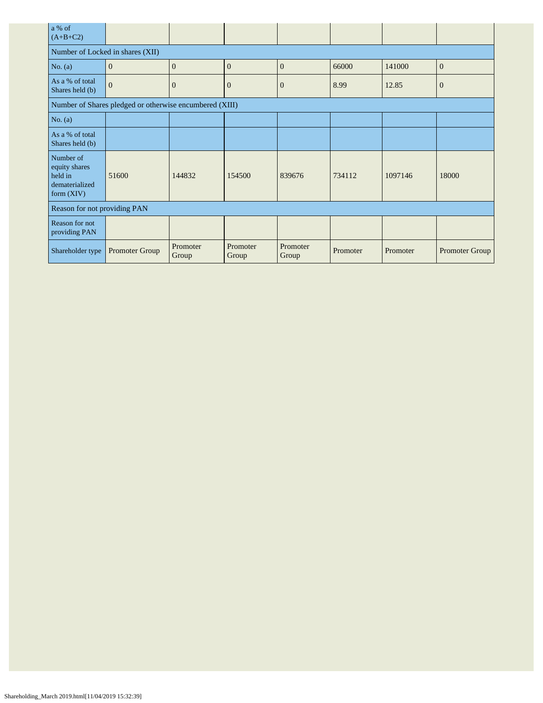| a % of<br>$(A+B+C2)$                                                    |                                                         |                   |                   |                   |          |          |                       |
|-------------------------------------------------------------------------|---------------------------------------------------------|-------------------|-------------------|-------------------|----------|----------|-----------------------|
| Number of Locked in shares (XII)                                        |                                                         |                   |                   |                   |          |          |                       |
| No. $(a)$                                                               | $\mathbf{0}$                                            | $\overline{0}$    | $\mathbf{0}$      | $\mathbf{0}$      | 66000    | 141000   | $\mathbf{0}$          |
| As a % of total<br>Shares held (b)                                      | $\overline{0}$                                          | $\theta$          | $\mathbf{0}$      | $\overline{0}$    | 8.99     | 12.85    | $\mathbf{0}$          |
|                                                                         | Number of Shares pledged or otherwise encumbered (XIII) |                   |                   |                   |          |          |                       |
| No. $(a)$                                                               |                                                         |                   |                   |                   |          |          |                       |
| As a % of total<br>Shares held (b)                                      |                                                         |                   |                   |                   |          |          |                       |
| Number of<br>equity shares<br>held in<br>dematerialized<br>form $(XIV)$ | 51600                                                   | 144832            | 154500            | 839676            | 734112   | 1097146  | 18000                 |
| Reason for not providing PAN                                            |                                                         |                   |                   |                   |          |          |                       |
| Reason for not<br>providing PAN                                         |                                                         |                   |                   |                   |          |          |                       |
| Shareholder type                                                        | Promoter Group                                          | Promoter<br>Group | Promoter<br>Group | Promoter<br>Group | Promoter | Promoter | <b>Promoter Group</b> |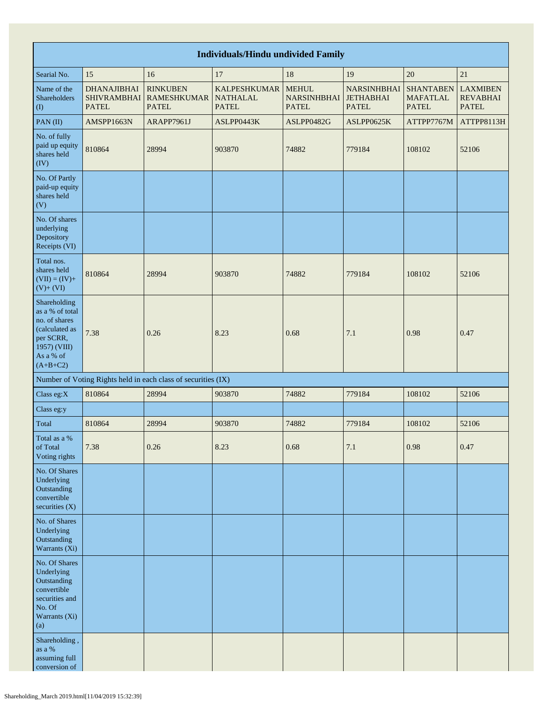| <b>Individuals/Hindu undivided Family</b>                                                                                  |                                                          |                                                               |                                                        |                                                    |                                                        |                                                     |                                                    |  |  |  |  |  |
|----------------------------------------------------------------------------------------------------------------------------|----------------------------------------------------------|---------------------------------------------------------------|--------------------------------------------------------|----------------------------------------------------|--------------------------------------------------------|-----------------------------------------------------|----------------------------------------------------|--|--|--|--|--|
| Searial No.                                                                                                                | 15                                                       | 16                                                            | 17                                                     | 18                                                 | 19                                                     | 20                                                  | 21                                                 |  |  |  |  |  |
| Name of the<br>Shareholders<br>$($ $\Gamma$                                                                                | <b>DHANAJIBHAI</b><br><b>SHIVRAMBHAI</b><br><b>PATEL</b> | <b>RINKUBEN</b><br><b>RAMESHKUMAR</b><br><b>PATEL</b>         | <b>KALPESHKUMAR</b><br><b>NATHALAL</b><br><b>PATEL</b> | <b>MEHUL</b><br><b>NARSINHBHAI</b><br><b>PATEL</b> | <b>NARSINHBHAI</b><br><b>JETHABHAI</b><br><b>PATEL</b> | <b>SHANTABEN</b><br><b>MAFATLAL</b><br><b>PATEL</b> | <b>LAXMIBEN</b><br><b>REVABHAI</b><br><b>PATEL</b> |  |  |  |  |  |
| PAN(II)                                                                                                                    | AMSPP1663N                                               | ARAPP7961J                                                    | ASLPP0443K                                             | ASLPP0482G                                         | ASLPP0625K                                             | ATTPP7767M                                          | ATTPP8113H                                         |  |  |  |  |  |
| No. of fully<br>paid up equity<br>shares held<br>(IV)                                                                      | 810864                                                   | 28994                                                         | 903870                                                 | 74882                                              | 779184                                                 | 108102                                              | 52106                                              |  |  |  |  |  |
| No. Of Partly<br>paid-up equity<br>shares held<br>(V)                                                                      |                                                          |                                                               |                                                        |                                                    |                                                        |                                                     |                                                    |  |  |  |  |  |
| No. Of shares<br>underlying<br>Depository<br>Receipts (VI)                                                                 |                                                          |                                                               |                                                        |                                                    |                                                        |                                                     |                                                    |  |  |  |  |  |
| Total nos.<br>shares held<br>$(VII) = (IV) +$<br>$(V)+(VI)$                                                                | 810864                                                   | 28994                                                         | 903870                                                 | 74882                                              | 779184                                                 | 108102                                              | 52106                                              |  |  |  |  |  |
| Shareholding<br>as a % of total<br>no. of shares<br>(calculated as<br>per SCRR,<br>1957) (VIII)<br>As a % of<br>$(A+B+C2)$ | 7.38                                                     | 0.26                                                          | 8.23                                                   | 0.68                                               | 7.1                                                    | 0.98                                                | 0.47                                               |  |  |  |  |  |
|                                                                                                                            |                                                          | Number of Voting Rights held in each class of securities (IX) |                                                        |                                                    |                                                        |                                                     |                                                    |  |  |  |  |  |
| Class eg: $X$                                                                                                              | 810864                                                   | 28994                                                         | 903870                                                 | 74882                                              | 779184                                                 | 108102                                              | 52106                                              |  |  |  |  |  |
| Class eg:y                                                                                                                 |                                                          |                                                               |                                                        |                                                    |                                                        |                                                     |                                                    |  |  |  |  |  |
| Total                                                                                                                      | 810864                                                   | 28994                                                         | 903870                                                 | 74882                                              | 779184                                                 | 108102                                              | 52106                                              |  |  |  |  |  |
| Total as a %<br>of Total<br>Voting rights                                                                                  | 7.38                                                     | 0.26                                                          | 8.23                                                   | 0.68                                               | $7.1\,$                                                | 0.98                                                | 0.47                                               |  |  |  |  |  |
| No. Of Shares<br>Underlying<br>Outstanding<br>convertible<br>securities (X)                                                |                                                          |                                                               |                                                        |                                                    |                                                        |                                                     |                                                    |  |  |  |  |  |
| No. of Shares<br>Underlying<br>Outstanding<br>Warrants (Xi)                                                                |                                                          |                                                               |                                                        |                                                    |                                                        |                                                     |                                                    |  |  |  |  |  |
| No. Of Shares<br>Underlying<br>Outstanding<br>convertible<br>securities and<br>No. Of<br>Warrants (Xi)<br>(a)              |                                                          |                                                               |                                                        |                                                    |                                                        |                                                     |                                                    |  |  |  |  |  |
| Shareholding,<br>as a $\%$<br>assuming full<br>conversion of                                                               |                                                          |                                                               |                                                        |                                                    |                                                        |                                                     |                                                    |  |  |  |  |  |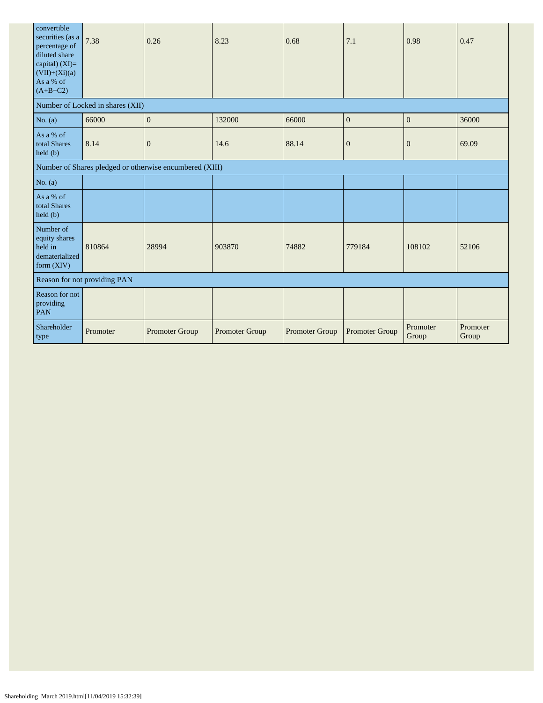| convertible<br>securities (as a<br>percentage of<br>diluted share<br>capital) $(XI)=$<br>$(VII)+(Xi)(a)$<br>As a % of<br>$(A+B+C2)$ | 7.38                             | 0.26                                                    | 8.23           | 0.68           | 7.1            | 0.98              | 0.47              |
|-------------------------------------------------------------------------------------------------------------------------------------|----------------------------------|---------------------------------------------------------|----------------|----------------|----------------|-------------------|-------------------|
|                                                                                                                                     | Number of Locked in shares (XII) |                                                         |                |                |                |                   |                   |
| No. $(a)$                                                                                                                           | 66000                            | $\boldsymbol{0}$                                        | 132000         | 66000          | $\mathbf{0}$   | $\boldsymbol{0}$  | 36000             |
| As a % of<br>total Shares<br>held(b)                                                                                                | 8.14                             | $\boldsymbol{0}$                                        | 14.6           | 88.14          | $\mathbf{0}$   | $\mathbf{0}$      | 69.09             |
|                                                                                                                                     |                                  | Number of Shares pledged or otherwise encumbered (XIII) |                |                |                |                   |                   |
| No. $(a)$                                                                                                                           |                                  |                                                         |                |                |                |                   |                   |
| As a % of<br>total Shares<br>$\text{held }(\text{b})$                                                                               |                                  |                                                         |                |                |                |                   |                   |
| Number of<br>equity shares<br>held in<br>dematerialized<br>form (XIV)                                                               | 810864                           | 28994                                                   | 903870         | 74882          | 779184         | 108102            | 52106             |
| Reason for not providing PAN                                                                                                        |                                  |                                                         |                |                |                |                   |                   |
| Reason for not<br>providing<br><b>PAN</b>                                                                                           |                                  |                                                         |                |                |                |                   |                   |
| Shareholder<br>type                                                                                                                 | Promoter                         | Promoter Group                                          | Promoter Group | Promoter Group | Promoter Group | Promoter<br>Group | Promoter<br>Group |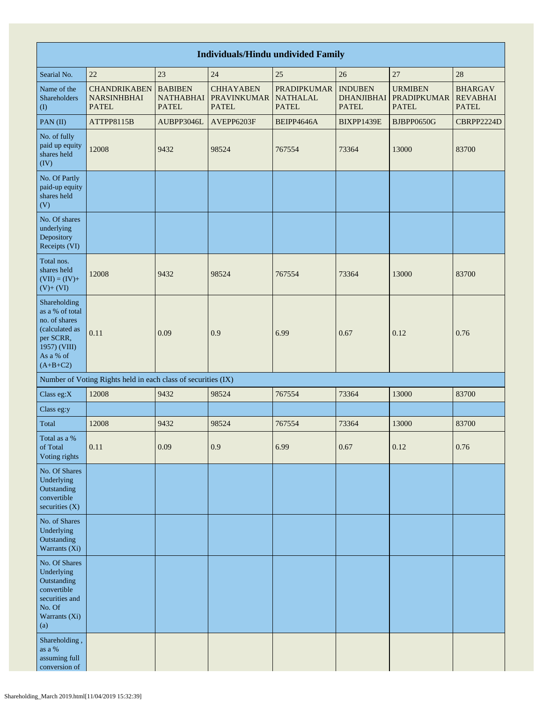| <b>Individuals/Hindu undivided Family</b>                                                                                  |                                                               |                                                    |                                                        |                                                       |                                                     |                                                      |                                                   |  |  |  |
|----------------------------------------------------------------------------------------------------------------------------|---------------------------------------------------------------|----------------------------------------------------|--------------------------------------------------------|-------------------------------------------------------|-----------------------------------------------------|------------------------------------------------------|---------------------------------------------------|--|--|--|
| Searial No.                                                                                                                | 25<br>27<br>22<br>23<br>24<br>26<br>28                        |                                                    |                                                        |                                                       |                                                     |                                                      |                                                   |  |  |  |
| Name of the<br>Shareholders<br>(1)                                                                                         | <b>CHANDRIKABEN</b><br><b>NARSINHBHAI</b><br><b>PATEL</b>     | <b>BABIBEN</b><br><b>NATHABHAI</b><br><b>PATEL</b> | <b>CHHAYABEN</b><br><b>PRAVINKUMAR</b><br><b>PATEL</b> | <b>PRADIPKUMAR</b><br><b>NATHALAL</b><br><b>PATEL</b> | <b>INDUBEN</b><br><b>DHANJIBHAI</b><br><b>PATEL</b> | <b>URMIBEN</b><br><b>PRADIPKUMAR</b><br><b>PATEL</b> | <b>BHARGAV</b><br><b>REVABHAI</b><br><b>PATEL</b> |  |  |  |
| PAN(II)                                                                                                                    | ATTPP8115B                                                    | AUBPP3046L                                         | AVEPP6203F                                             | BEIPP4646A                                            | BIXPP1439E                                          | BJBPP0650G                                           | CBRPP2224D                                        |  |  |  |
| No. of fully<br>paid up equity<br>shares held<br>(IV)                                                                      | 12008                                                         | 9432                                               | 98524                                                  | 767554                                                | 73364                                               | 13000                                                | 83700                                             |  |  |  |
| No. Of Partly<br>paid-up equity<br>shares held<br>(V)                                                                      |                                                               |                                                    |                                                        |                                                       |                                                     |                                                      |                                                   |  |  |  |
| No. Of shares<br>underlying<br>Depository<br>Receipts (VI)                                                                 |                                                               |                                                    |                                                        |                                                       |                                                     |                                                      |                                                   |  |  |  |
| Total nos.<br>shares held<br>$(VII) = (IV) +$<br>$(V) + (VI)$                                                              | 12008                                                         | 9432                                               | 98524                                                  | 767554                                                | 73364                                               | 13000                                                | 83700                                             |  |  |  |
| Shareholding<br>as a % of total<br>no. of shares<br>(calculated as<br>per SCRR,<br>1957) (VIII)<br>As a % of<br>$(A+B+C2)$ | 0.11                                                          | 0.09                                               | 0.9                                                    | 6.99                                                  | 0.67                                                | 0.12                                                 | 0.76                                              |  |  |  |
|                                                                                                                            | Number of Voting Rights held in each class of securities (IX) |                                                    |                                                        |                                                       |                                                     |                                                      |                                                   |  |  |  |
| Class eg:X                                                                                                                 | 12008                                                         | 9432                                               | 98524                                                  | 767554                                                | 73364                                               | 13000                                                | 83700                                             |  |  |  |
| Class eg:y                                                                                                                 |                                                               |                                                    |                                                        |                                                       |                                                     |                                                      |                                                   |  |  |  |
| Total                                                                                                                      | 12008                                                         | 9432                                               | 98524                                                  | 767554                                                | 73364                                               | 13000                                                | 83700                                             |  |  |  |
| Total as a $\%$<br>of Total<br>Voting rights                                                                               | 0.11                                                          | 0.09                                               | 0.9                                                    | 6.99                                                  | 0.67                                                | 0.12                                                 | 0.76                                              |  |  |  |
| No. Of Shares<br>Underlying<br>Outstanding<br>convertible<br>securities $(X)$                                              |                                                               |                                                    |                                                        |                                                       |                                                     |                                                      |                                                   |  |  |  |
| No. of Shares<br>Underlying<br>Outstanding<br>Warrants (Xi)                                                                |                                                               |                                                    |                                                        |                                                       |                                                     |                                                      |                                                   |  |  |  |
| No. Of Shares<br>Underlying<br>Outstanding<br>convertible<br>securities and<br>No. Of<br>Warrants (Xi)<br>(a)              |                                                               |                                                    |                                                        |                                                       |                                                     |                                                      |                                                   |  |  |  |
| Shareholding,<br>as a $\%$<br>assuming full<br>conversion of                                                               |                                                               |                                                    |                                                        |                                                       |                                                     |                                                      |                                                   |  |  |  |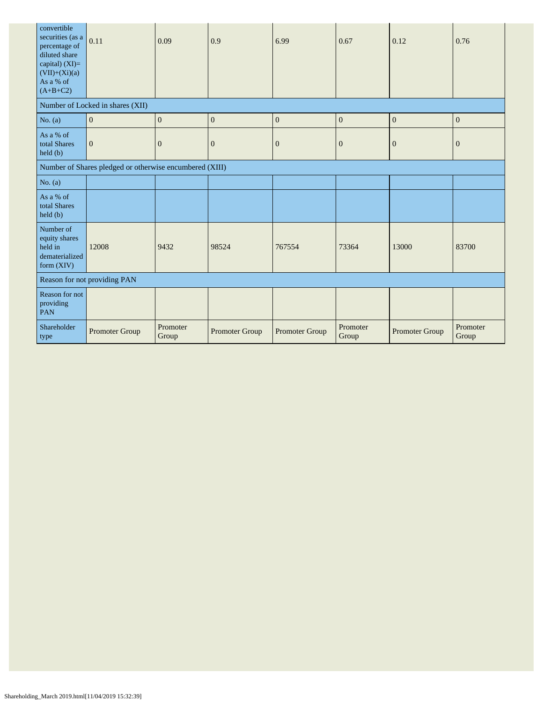| convertible<br>securities (as a<br>percentage of<br>diluted share<br>capital) $(XI)=$<br>$(VII)+(Xi)(a)$<br>As a % of<br>$(A+B+C2)$ | 0.11                                                    | 0.09              | 0.9            | 6.99             | 0.67              | 0.12           | 0.76              |
|-------------------------------------------------------------------------------------------------------------------------------------|---------------------------------------------------------|-------------------|----------------|------------------|-------------------|----------------|-------------------|
|                                                                                                                                     | Number of Locked in shares (XII)                        |                   |                |                  |                   |                |                   |
| No. (a)                                                                                                                             | $\boldsymbol{0}$                                        | $\mathbf{0}$      | $\mathbf{0}$   | $\mathbf{0}$     | $\mathbf{0}$      | $\mathbf{0}$   | $\mathbf{0}$      |
| As a % of<br>total Shares<br>held(b)                                                                                                | $\overline{0}$                                          | $\boldsymbol{0}$  | $\mathbf{0}$   | $\boldsymbol{0}$ | $\theta$          | $\overline{0}$ | $\mathbf{0}$      |
|                                                                                                                                     | Number of Shares pledged or otherwise encumbered (XIII) |                   |                |                  |                   |                |                   |
| No. $(a)$                                                                                                                           |                                                         |                   |                |                  |                   |                |                   |
| As a % of<br>total Shares<br>held(b)                                                                                                |                                                         |                   |                |                  |                   |                |                   |
| Number of<br>equity shares<br>held in<br>dematerialized<br>form $(XIV)$                                                             | 12008                                                   | 9432              | 98524          | 767554           | 73364             | 13000          | 83700             |
| Reason for not providing PAN                                                                                                        |                                                         |                   |                |                  |                   |                |                   |
| Reason for not<br>providing<br>PAN                                                                                                  |                                                         |                   |                |                  |                   |                |                   |
| Shareholder<br>type                                                                                                                 | <b>Promoter Group</b>                                   | Promoter<br>Group | Promoter Group | Promoter Group   | Promoter<br>Group | Promoter Group | Promoter<br>Group |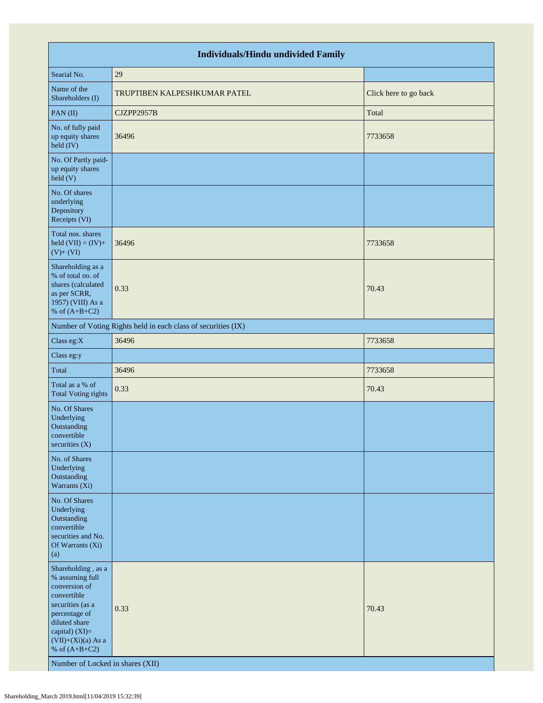| <b>Individuals/Hindu undivided Family</b>                                                                                                                                                                                    |                                                               |                       |  |  |  |  |  |
|------------------------------------------------------------------------------------------------------------------------------------------------------------------------------------------------------------------------------|---------------------------------------------------------------|-----------------------|--|--|--|--|--|
| Searial No.                                                                                                                                                                                                                  | 29                                                            |                       |  |  |  |  |  |
| Name of the<br>Shareholders (I)                                                                                                                                                                                              | TRUPTIBEN KALPESHKUMAR PATEL                                  | Click here to go back |  |  |  |  |  |
| PAN(II)                                                                                                                                                                                                                      | CJZPP2957B                                                    | Total                 |  |  |  |  |  |
| No. of fully paid<br>up equity shares<br>held (IV)                                                                                                                                                                           | 36496                                                         | 7733658               |  |  |  |  |  |
| No. Of Partly paid-<br>up equity shares<br>held(V)                                                                                                                                                                           |                                                               |                       |  |  |  |  |  |
| No. Of shares<br>underlying<br>Depository<br>Receipts (VI)                                                                                                                                                                   |                                                               |                       |  |  |  |  |  |
| Total nos. shares<br>held $(VII) = (IV) +$<br>$(V) + (VI)$                                                                                                                                                                   | 36496                                                         | 7733658               |  |  |  |  |  |
| Shareholding as a<br>% of total no. of<br>shares (calculated<br>as per SCRR,<br>1957) (VIII) As a<br>% of $(A+B+C2)$                                                                                                         | 0.33                                                          | 70.43                 |  |  |  |  |  |
|                                                                                                                                                                                                                              | Number of Voting Rights held in each class of securities (IX) |                       |  |  |  |  |  |
| Class eg:X                                                                                                                                                                                                                   | 36496                                                         | 7733658               |  |  |  |  |  |
| Class eg:y                                                                                                                                                                                                                   |                                                               |                       |  |  |  |  |  |
| Total                                                                                                                                                                                                                        | 36496                                                         | 7733658               |  |  |  |  |  |
| Total as a % of<br><b>Total Voting rights</b>                                                                                                                                                                                | 0.33                                                          | 70.43                 |  |  |  |  |  |
| No. Of Shares<br>Underlying<br>Outstanding<br>convertible<br>securities $(X)$                                                                                                                                                |                                                               |                       |  |  |  |  |  |
| No. of Shares<br>Underlying<br>Outstanding<br>Warrants (Xi)                                                                                                                                                                  |                                                               |                       |  |  |  |  |  |
| No. Of Shares<br>Underlying<br>Outstanding<br>convertible<br>securities and No.<br>Of Warrants (Xi)<br>(a)                                                                                                                   |                                                               |                       |  |  |  |  |  |
| Shareholding, as a<br>% assuming full<br>conversion of<br>convertible<br>securities (as a<br>percentage of<br>diluted share<br>capital) (XI)=<br>$(VII)+(Xi)(a)$ As a<br>% of $(A+B+C2)$<br>Number of Locked in shares (XII) | 0.33                                                          | 70.43                 |  |  |  |  |  |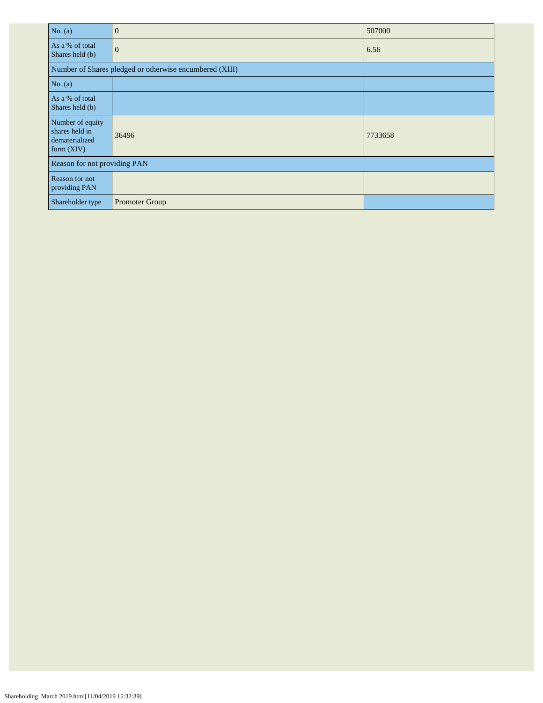| No. (a)                                                              | $\overline{0}$                                          | 507000  |  |  |  |  |
|----------------------------------------------------------------------|---------------------------------------------------------|---------|--|--|--|--|
| As a % of total<br>Shares held (b)                                   | $\mathbf{0}$                                            | 6.56    |  |  |  |  |
|                                                                      | Number of Shares pledged or otherwise encumbered (XIII) |         |  |  |  |  |
| No. $(a)$                                                            |                                                         |         |  |  |  |  |
| As a % of total<br>Shares held (b)                                   |                                                         |         |  |  |  |  |
| Number of equity<br>shares held in<br>dematerialized<br>form $(XIV)$ | 36496                                                   | 7733658 |  |  |  |  |
| Reason for not providing PAN                                         |                                                         |         |  |  |  |  |
| Reason for not<br>providing PAN                                      |                                                         |         |  |  |  |  |
| Shareholder type                                                     | <b>Promoter Group</b>                                   |         |  |  |  |  |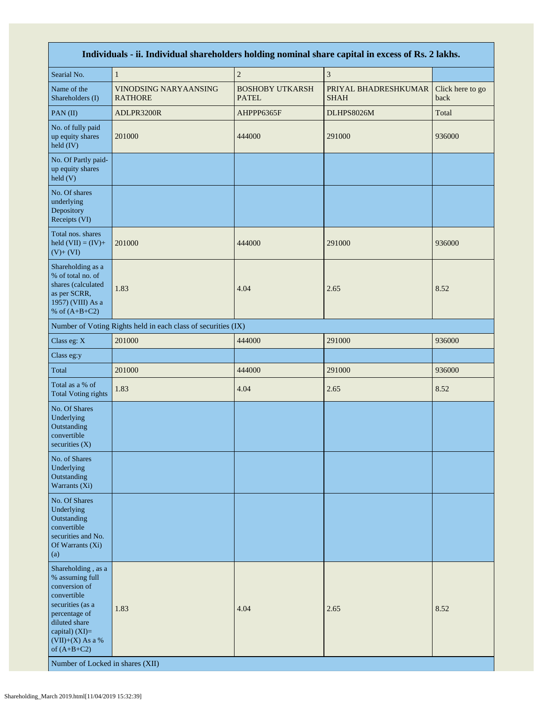| Individuals - ii. Individual shareholders holding nominal share capital in excess of Rs. 2 lakhs.                                                                                                                        |                                                               |                                        |                                     |                          |  |  |  |
|--------------------------------------------------------------------------------------------------------------------------------------------------------------------------------------------------------------------------|---------------------------------------------------------------|----------------------------------------|-------------------------------------|--------------------------|--|--|--|
| Searial No.                                                                                                                                                                                                              | $\mathbf{1}$                                                  | $\sqrt{2}$                             | $\mathfrak z$                       |                          |  |  |  |
| Name of the<br>Shareholders (I)                                                                                                                                                                                          | VINODSING NARYAANSING<br><b>RATHORE</b>                       | <b>BOSHOBY UTKARSH</b><br><b>PATEL</b> | PRIYAL BHADRESHKUMAR<br><b>SHAH</b> | Click here to go<br>back |  |  |  |
| PAN(II)                                                                                                                                                                                                                  | ADLPR3200R                                                    | AHPPP6365F                             | DLHPS8026M                          | Total                    |  |  |  |
| No. of fully paid<br>up equity shares<br>held (IV)                                                                                                                                                                       | 201000                                                        | 444000                                 | 291000                              | 936000                   |  |  |  |
| No. Of Partly paid-<br>up equity shares<br>$\text{held}$ (V)                                                                                                                                                             |                                                               |                                        |                                     |                          |  |  |  |
| No. Of shares<br>underlying<br>Depository<br>Receipts (VI)                                                                                                                                                               |                                                               |                                        |                                     |                          |  |  |  |
| Total nos. shares<br>held $(VII) = (IV) +$<br>$(V)+(VI)$                                                                                                                                                                 | 201000                                                        | 444000                                 | 291000                              | 936000                   |  |  |  |
| Shareholding as a<br>% of total no. of<br>shares (calculated<br>as per SCRR,<br>1957) (VIII) As a<br>% of $(A+B+C2)$                                                                                                     | 1.83                                                          | 4.04                                   | 2.65                                | 8.52                     |  |  |  |
|                                                                                                                                                                                                                          | Number of Voting Rights held in each class of securities (IX) |                                        |                                     |                          |  |  |  |
| Class eg: X                                                                                                                                                                                                              | 201000                                                        | 444000                                 | 291000                              | 936000                   |  |  |  |
| Class eg:y                                                                                                                                                                                                               |                                                               |                                        |                                     |                          |  |  |  |
| Total                                                                                                                                                                                                                    | 201000                                                        | 444000                                 | 291000                              | 936000                   |  |  |  |
| Total as a % of<br><b>Total Voting rights</b>                                                                                                                                                                            | 1.83                                                          | 4.04                                   | 2.65                                | 8.52                     |  |  |  |
| No. Of Shares<br>Underlying<br>Outstanding<br>convertible<br>securities (X)                                                                                                                                              |                                                               |                                        |                                     |                          |  |  |  |
| No. of Shares<br>Underlying<br>Outstanding<br>Warrants (Xi)                                                                                                                                                              |                                                               |                                        |                                     |                          |  |  |  |
| No. Of Shares<br>Underlying<br>Outstanding<br>convertible<br>securities and No.<br>Of Warrants (Xi)<br>(a)                                                                                                               |                                                               |                                        |                                     |                          |  |  |  |
| Shareholding, as a<br>% assuming full<br>conversion of<br>convertible<br>securities (as a<br>percentage of<br>diluted share<br>capital) (XI)=<br>$(VII)+(X)$ As a %<br>of $(A+B+C2)$<br>Number of Locked in shares (XII) | 1.83                                                          | 4.04                                   | 2.65                                | 8.52                     |  |  |  |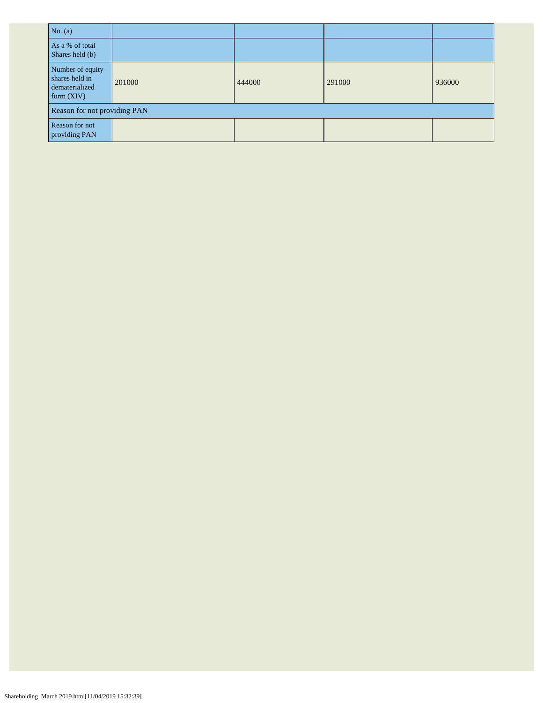| No. $(a)$                                                            |        |        |        |        |  |  |
|----------------------------------------------------------------------|--------|--------|--------|--------|--|--|
| As a % of total<br>Shares held (b)                                   |        |        |        |        |  |  |
| Number of equity<br>shares held in<br>dematerialized<br>form $(XIV)$ | 201000 | 444000 | 291000 | 936000 |  |  |
| Reason for not providing PAN                                         |        |        |        |        |  |  |
| Reason for not<br>providing PAN                                      |        |        |        |        |  |  |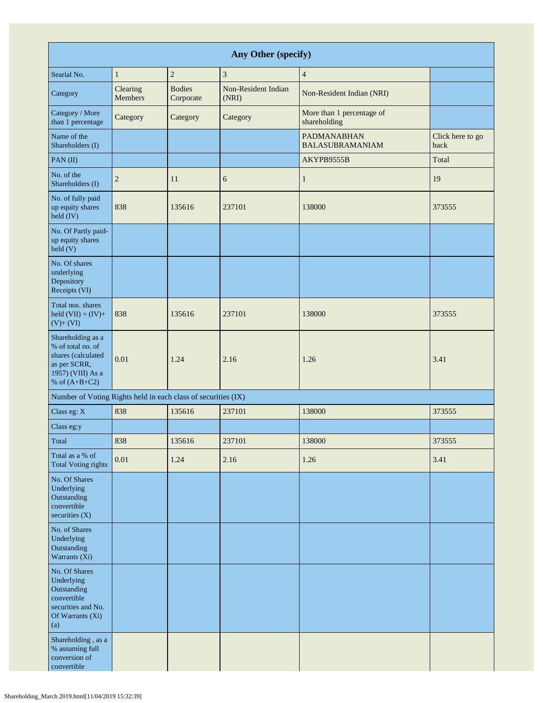| Any Other (specify)                                                                                                  |                     |                            |                              |                                              |                          |  |
|----------------------------------------------------------------------------------------------------------------------|---------------------|----------------------------|------------------------------|----------------------------------------------|--------------------------|--|
| Searial No.                                                                                                          | $\mathbf{1}$        | $\overline{c}$             | 3                            | $\overline{4}$                               |                          |  |
| Category                                                                                                             | Clearing<br>Members | <b>Bodies</b><br>Corporate | Non-Resident Indian<br>(NRI) | Non-Resident Indian (NRI)                    |                          |  |
| Category / More<br>than 1 percentage                                                                                 | Category            | Category                   | Category                     | More than 1 percentage of<br>shareholding    |                          |  |
| Name of the<br>Shareholders (I)                                                                                      |                     |                            |                              | <b>PADMANABHAN</b><br><b>BALASUBRAMANIAM</b> | Click here to go<br>back |  |
| $PAN$ (II)                                                                                                           |                     |                            |                              | AKYPB9555B                                   | Total                    |  |
| No. of the<br>Shareholders (I)                                                                                       | 2                   | 11                         | 6                            | $\mathbf{1}$                                 | 19                       |  |
| No. of fully paid<br>up equity shares<br>held (IV)                                                                   | 838                 | 135616                     | 237101                       | 138000                                       | 373555                   |  |
| No. Of Partly paid-<br>up equity shares<br>held(V)                                                                   |                     |                            |                              |                                              |                          |  |
| No. Of shares<br>underlying<br>Depository<br>Receipts (VI)                                                           |                     |                            |                              |                                              |                          |  |
| Total nos. shares<br>held $(VII) = (IV) +$<br>$(V)+(VI)$                                                             | 838                 | 135616                     | 237101                       | 138000                                       | 373555                   |  |
| Shareholding as a<br>% of total no. of<br>shares (calculated<br>as per SCRR,<br>1957) (VIII) As a<br>% of $(A+B+C2)$ | 0.01                | 1.24                       | 2.16                         | 1.26                                         | 3.41                     |  |
| Number of Voting Rights held in each class of securities (IX)                                                        |                     |                            |                              |                                              |                          |  |
| Class eg: X                                                                                                          | 838                 | 135616                     | 237101                       | 138000                                       | 373555                   |  |
| Class eg:y                                                                                                           |                     |                            |                              |                                              |                          |  |
| Total                                                                                                                | 838                 | 135616                     | 237101                       | 138000                                       | 373555                   |  |
| Total as a % of<br><b>Total Voting rights</b>                                                                        | $0.01\,$            | 1.24                       | 2.16                         | 1.26                                         | 3.41                     |  |
| No. Of Shares<br>Underlying<br>Outstanding<br>convertible<br>securities $(X)$                                        |                     |                            |                              |                                              |                          |  |
| No. of Shares<br>Underlying<br>Outstanding<br>Warrants (Xi)                                                          |                     |                            |                              |                                              |                          |  |
| No. Of Shares<br>Underlying<br>Outstanding<br>convertible<br>securities and No.<br>Of Warrants (Xi)<br>(a)           |                     |                            |                              |                                              |                          |  |
| Shareholding, as a<br>% assuming full<br>conversion of<br>convertible                                                |                     |                            |                              |                                              |                          |  |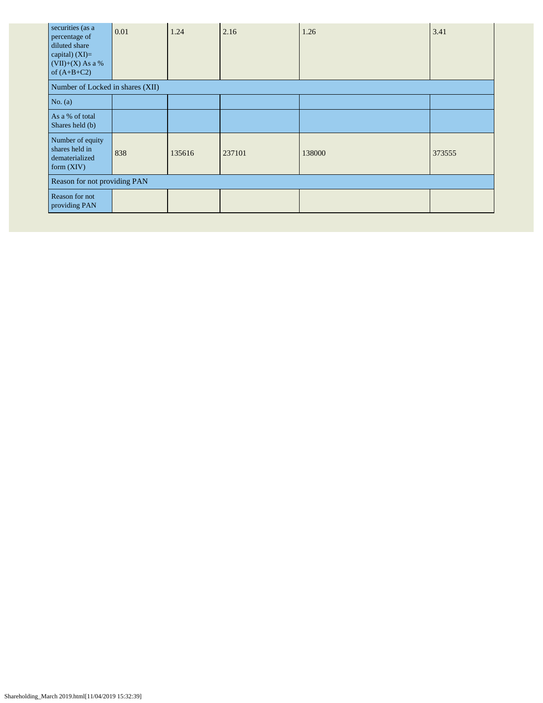| securities (as a<br>percentage of<br>diluted share<br>capital) $(XI)=$<br>$(VII)+(X)$ As a %<br>of $(A+B+C2)$ | 0.01 | 1.24   | 2.16   | 1.26   | 3.41   |  |  |
|---------------------------------------------------------------------------------------------------------------|------|--------|--------|--------|--------|--|--|
| Number of Locked in shares (XII)                                                                              |      |        |        |        |        |  |  |
| No. $(a)$                                                                                                     |      |        |        |        |        |  |  |
| As a % of total<br>Shares held (b)                                                                            |      |        |        |        |        |  |  |
| Number of equity<br>shares held in<br>dematerialized<br>form $(XIV)$                                          | 838  | 135616 | 237101 | 138000 | 373555 |  |  |
| Reason for not providing PAN                                                                                  |      |        |        |        |        |  |  |
| Reason for not<br>providing PAN                                                                               |      |        |        |        |        |  |  |